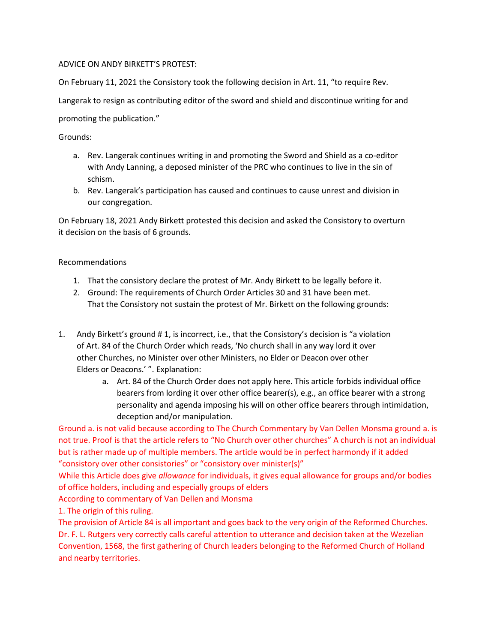## ADVICE ON ANDY BIRKETT'S PROTEST:

On February 11, 2021 the Consistory took the following decision in Art. 11, "to require Rev.

Langerak to resign as contributing editor of the sword and shield and discontinue writing for and

promoting the publication."

## Grounds:

- a. Rev. Langerak continues writing in and promoting the Sword and Shield as a co-editor with Andy Lanning, a deposed minister of the PRC who continues to live in the sin of schism.
- b. Rev. Langerak's participation has caused and continues to cause unrest and division in our congregation.

On February 18, 2021 Andy Birkett protested this decision and asked the Consistory to overturn it decision on the basis of 6 grounds.

## Recommendations

- 1. That the consistory declare the protest of Mr. Andy Birkett to be legally before it.
- 2. Ground: The requirements of Church Order Articles 30 and 31 have been met. That the Consistory not sustain the protest of Mr. Birkett on the following grounds:
- 1. Andy Birkett's ground # 1, is incorrect, i.e., that the Consistory's decision is "a violation of Art. 84 of the Church Order which reads, 'No church shall in any way lord it over other Churches, no Minister over other Ministers, no Elder or Deacon over other Elders or Deacons.' ". Explanation:
	- a. Art. 84 of the Church Order does not apply here. This article forbids individual office bearers from lording it over other office bearer(s), e.g., an office bearer with a strong personality and agenda imposing his will on other office bearers through intimidation, deception and/or manipulation.

Ground a. is not valid because according to The Church Commentary by Van Dellen Monsma ground a. is not true. Proof is that the article refers to "No Church over other churches" A church is not an individual but is rather made up of multiple members. The article would be in perfect harmondy if it added "consistory over other consistories" or "consistory over minister(s)"

While this Article does give *allowance* for individuals, it gives equal allowance for groups and/or bodies of office holders, including and especially groups of elders

According to commentary of Van Dellen and Monsma

1. The origin of this ruling.

The provision of Article 84 is all important and goes back to the very origin of the Reformed Churches. Dr. F. L. Rutgers very correctly calls careful attention to utterance and decision taken at the Wezelian Convention, 1568, the first gathering of Church leaders belonging to the Reformed Church of Holland and nearby territories.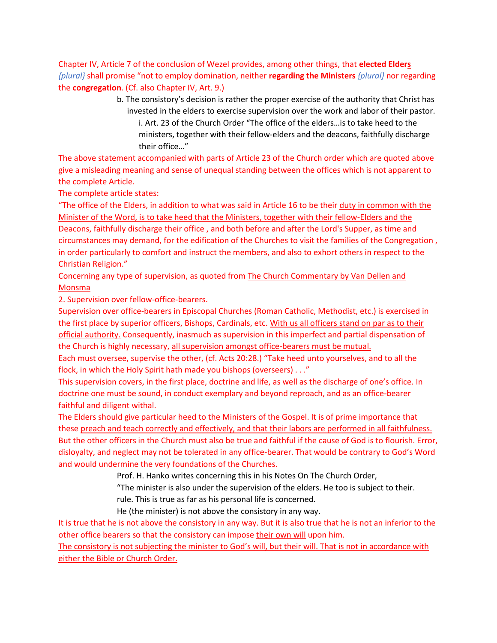Chapter IV, Article 7 of the conclusion of Wezel provides, among other things, that **elected Elders** *{plural}* shall promise "not to employ domination, neither **regarding the Ministers** *{plural}* nor regarding the **congregation**. (Cf. also Chapter IV, Art. 9.)

> b. The consistory's decision is rather the proper exercise of the authority that Christ has invested in the elders to exercise supervision over the work and labor of their pastor. i. Art. 23 of the Church Order "The office of the elders…is to take heed to the ministers, together with their fellow-elders and the deacons, faithfully discharge their office…"

The above statement accompanied with parts of Article 23 of the Church order which are quoted above give a misleading meaning and sense of unequal standing between the offices which is not apparent to the complete Article.

The complete article states:

"The office of the Elders, in addition to what was said in Article 16 to be their duty in common with the Minister of the Word, is to take heed that the Ministers, together with their fellow-Elders and the Deacons, faithfully discharge their office , and both before and after the Lord's Supper, as time and circumstances may demand, for the edification of the Churches to visit the families of the Congregation , in order particularly to comfort and instruct the members, and also to exhort others in respect to the Christian Religion."

Concerning any type of supervision, as quoted from The Church Commentary by Van Dellen and Monsma

2. Supervision over fellow-office-bearers.

Supervision over office-bearers in Episcopal Churches (Roman Catholic, Methodist, etc.) is exercised in the first place by superior officers, Bishops, Cardinals, etc. With us all officers stand on par as to their official authority. Consequently, inasmuch as supervision in this imperfect and partial dispensation of the Church is highly necessary, all supervision amongst office-bearers must be mutual.

Each must oversee, supervise the other, (cf. Acts 20:28.) "Take heed unto yourselves, and to all the flock, in which the Holy Spirit hath made you bishops (overseers) . . ."

This supervision covers, in the first place, doctrine and life, as well as the discharge of one's office. In doctrine one must be sound, in conduct exemplary and beyond reproach, and as an office-bearer faithful and diligent withal.

The Elders should give particular heed to the Ministers of the Gospel. It is of prime importance that these preach and teach correctly and effectively, and that their labors are performed in all faithfulness. But the other officers in the Church must also be true and faithful if the cause of God is to flourish. Error, disloyalty, and neglect may not be tolerated in any office-bearer. That would be contrary to God's Word and would undermine the very foundations of the Churches.

Prof. H. Hanko writes concerning this in his Notes On The Church Order,

"The minister is also under the supervision of the elders. He too is subject to their.

rule. This is true as far as his personal life is concerned.

He (the minister) is not above the consistory in any way.

It is true that he is not above the consistory in any way. But it is also true that he is not an inferior to the other office bearers so that the consistory can impose their own will upon him.

The consistory is not subjecting the minister to God's will, but their will. That is not in accordance with either the Bible or Church Order.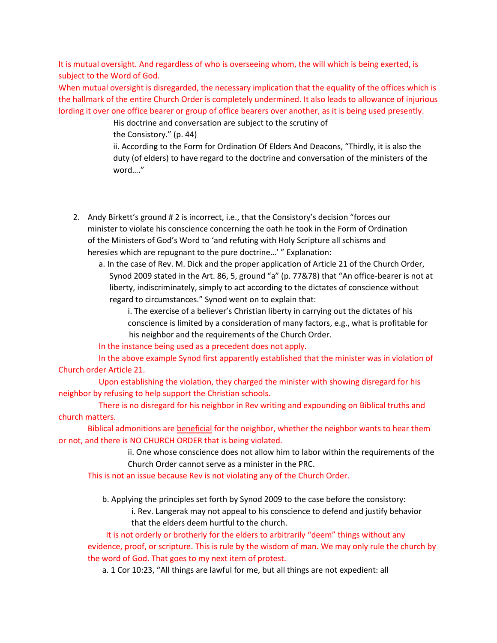It is mutual oversight. And regardless of who is overseeing whom, the will which is being exerted, is subject to the Word of God.

When mutual oversight is disregarded, the necessary implication that the equality of the offices which is the hallmark of the entire Church Order is completely undermined. It also leads to allowance of injurious lording it over one office bearer or group of office bearers over another, as it is being used presently.

> His doctrine and conversation are subject to the scrutiny of the Consistory." (p. 44)

ii. According to the Form for Ordination Of Elders And Deacons, "Thirdly, it is also the duty (of elders) to have regard to the doctrine and conversation of the ministers of the word…."

- 2. Andy Birkett's ground # 2 is incorrect, i.e., that the Consistory's decision "forces our minister to violate his conscience concerning the oath he took in the Form of Ordination of the Ministers of God's Word to 'and refuting with Holy Scripture all schisms and heresies which are repugnant to the pure doctrine…' " Explanation:
	- a. In the case of Rev. M. Dick and the proper application of Article 21 of the Church Order, Synod 2009 stated in the Art. 86, 5, ground "a" (p. 77&78) that "An office-bearer is not at liberty, indiscriminately, simply to act according to the dictates of conscience without regard to circumstances." Synod went on to explain that:

i. The exercise of a believer's Christian liberty in carrying out the dictates of his conscience is limited by a consideration of many factors, e.g., what is profitable for his neighbor and the requirements of the Church Order.

In the instance being used as a precedent does not apply.

In the above example Synod first apparently established that the minister was in violation of Church order Article 21.

Upon establishing the violation, they charged the minister with showing disregard for his neighbor by refusing to help support the Christian schools.

There is no disregard for his neighbor in Rev writing and expounding on Biblical truths and church matters.

Biblical admonitions are **beneficial** for the neighbor, whether the neighbor wants to hear them or not, and there is NO CHURCH ORDER that is being violated.

> ii. One whose conscience does not allow him to labor within the requirements of the Church Order cannot serve as a minister in the PRC.

This is not an issue because Rev is not violating any of the Church Order.

b. Applying the principles set forth by Synod 2009 to the case before the consistory:

i. Rev. Langerak may not appeal to his conscience to defend and justify behavior that the elders deem hurtful to the church.

It is not orderly or brotherly for the elders to arbitrarily "deem" things without any evidence, proof, or scripture. This is rule by the wisdom of man. We may only rule the church by the word of God. That goes to my next item of protest.

a. 1 Cor 10:23, "All things are lawful for me, but all things are not expedient: all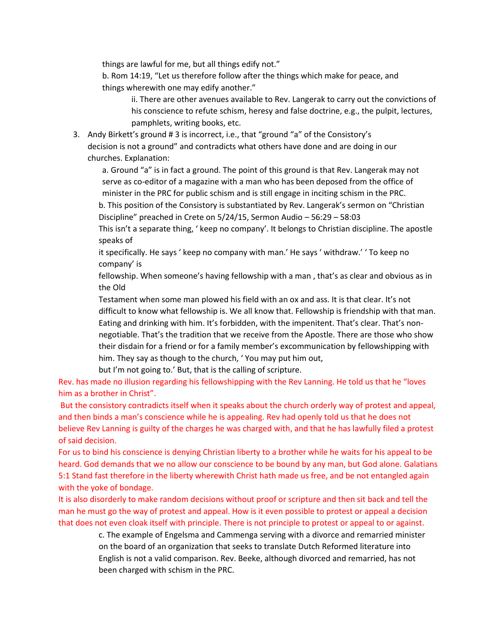things are lawful for me, but all things edify not."

b. Rom 14:19, "Let us therefore follow after the things which make for peace, and things wherewith one may edify another."

ii. There are other avenues available to Rev. Langerak to carry out the convictions of his conscience to refute schism, heresy and false doctrine, e.g., the pulpit, lectures, pamphlets, writing books, etc.

3. Andy Birkett's ground # 3 is incorrect, i.e., that "ground "a" of the Consistory's decision is not a ground" and contradicts what others have done and are doing in our churches. Explanation:

a. Ground "a" is in fact a ground. The point of this ground is that Rev. Langerak may not serve as co-editor of a magazine with a man who has been deposed from the office of minister in the PRC for public schism and is still engage in inciting schism in the PRC.

b. This position of the Consistory is substantiated by Rev. Langerak's sermon on "Christian Discipline" preached in Crete on 5/24/15, Sermon Audio – 56:29 – 58:03

This isn't a separate thing, ' keep no company'. It belongs to Christian discipline. The apostle speaks of

it specifically. He says ' keep no company with man.' He says ' withdraw.' ' To keep no company' is

fellowship. When someone's having fellowship with a man , that's as clear and obvious as in the Old

Testament when some man plowed his field with an ox and ass. It is that clear. It's not difficult to know what fellowship is. We all know that. Fellowship is friendship with that man. Eating and drinking with him. It's forbidden, with the impenitent. That's clear. That's nonnegotiable. That's the tradition that we receive from the Apostle. There are those who show their disdain for a friend or for a family member's excommunication by fellowshipping with him. They say as though to the church, ' You may put him out,

but I'm not going to.' But, that is the calling of scripture.

Rev. has made no illusion regarding his fellowshipping with the Rev Lanning. He told us that he "loves him as a brother in Christ".

But the consistory contradicts itself when it speaks about the church orderly way of protest and appeal, and then binds a man's conscience while he is appealing. Rev had openly told us that he does not believe Rev Lanning is guilty of the charges he was charged with, and that he has lawfully filed a protest of said decision.

For us to bind his conscience is denying Christian liberty to a brother while he waits for his appeal to be heard. God demands that we no allow our conscience to be bound by any man, but God alone. Galatians 5:1 Stand fast therefore in the liberty wherewith Christ hath made us free, and be not entangled again with the yoke of bondage.

It is also disorderly to make random decisions without proof or scripture and then sit back and tell the man he must go the way of protest and appeal. How is it even possible to protest or appeal a decision that does not even cloak itself with principle. There is not principle to protest or appeal to or against.

> c. The example of Engelsma and Cammenga serving with a divorce and remarried minister on the board of an organization that seeks to translate Dutch Reformed literature into English is not a valid comparison. Rev. Beeke, although divorced and remarried, has not been charged with schism in the PRC.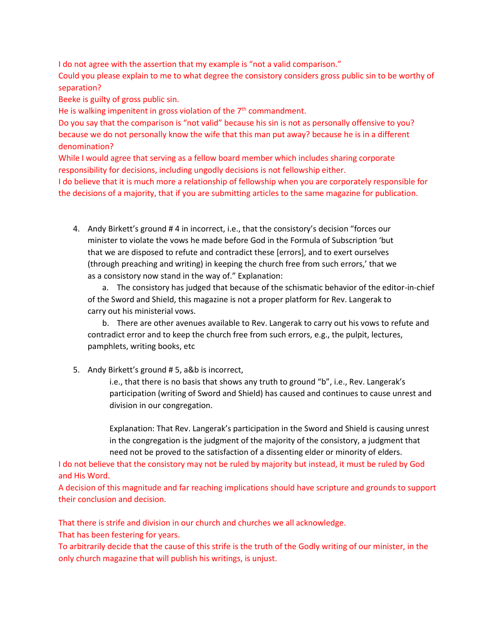I do not agree with the assertion that my example is "not a valid comparison."

Could you please explain to me to what degree the consistory considers gross public sin to be worthy of separation?

Beeke is guilty of gross public sin.

He is walking impenitent in gross violation of the  $7<sup>th</sup>$  commandment.

Do you say that the comparison is "not valid" because his sin is not as personally offensive to you? because we do not personally know the wife that this man put away? because he is in a different denomination?

While I would agree that serving as a fellow board member which includes sharing corporate responsibility for decisions, including ungodly decisions is not fellowship either.

I do believe that it is much more a relationship of fellowship when you are corporately responsible for the decisions of a majority, that if you are submitting articles to the same magazine for publication.

4. Andy Birkett's ground # 4 in incorrect, i.e., that the consistory's decision "forces our minister to violate the vows he made before God in the Formula of Subscription 'but that we are disposed to refute and contradict these [errors], and to exert ourselves (through preaching and writing) in keeping the church free from such errors,' that we as a consistory now stand in the way of." Explanation:

a. The consistory has judged that because of the schismatic behavior of the editor-in-chief of the Sword and Shield, this magazine is not a proper platform for Rev. Langerak to carry out his ministerial vows.

b. There are other avenues available to Rev. Langerak to carry out his vows to refute and contradict error and to keep the church free from such errors, e.g., the pulpit, lectures, pamphlets, writing books, etc

5. Andy Birkett's ground # 5, a&b is incorrect,

i.e., that there is no basis that shows any truth to ground "b", i.e., Rev. Langerak's participation (writing of Sword and Shield) has caused and continues to cause unrest and division in our congregation.

Explanation: That Rev. Langerak's participation in the Sword and Shield is causing unrest in the congregation is the judgment of the majority of the consistory, a judgment that need not be proved to the satisfaction of a dissenting elder or minority of elders.

I do not believe that the consistory may not be ruled by majority but instead, it must be ruled by God and His Word.

A decision of this magnitude and far reaching implications should have scripture and grounds to support their conclusion and decision.

That there is strife and division in our church and churches we all acknowledge.

That has been festering for years.

To arbitrarily decide that the cause of this strife is the truth of the Godly writing of our minister, in the only church magazine that will publish his writings, is unjust.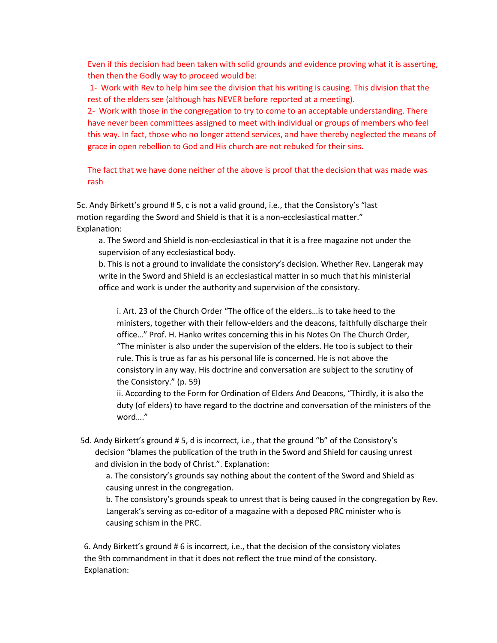Even if this decision had been taken with solid grounds and evidence proving what it is asserting, then then the Godly way to proceed would be:

1- Work with Rev to help him see the division that his writing is causing. This division that the rest of the elders see (although has NEVER before reported at a meeting).

2- Work with those in the congregation to try to come to an acceptable understanding. There have never been committees assigned to meet with individual or groups of members who feel this way. In fact, those who no longer attend services, and have thereby neglected the means of grace in open rebellion to God and His church are not rebuked for their sins.

The fact that we have done neither of the above is proof that the decision that was made was rash

5c. Andy Birkett's ground # 5, c is not a valid ground, i.e., that the Consistory's "last motion regarding the Sword and Shield is that it is a non-ecclesiastical matter." Explanation:

a. The Sword and Shield is non-ecclesiastical in that it is a free magazine not under the supervision of any ecclesiastical body.

b. This is not a ground to invalidate the consistory's decision. Whether Rev. Langerak may write in the Sword and Shield is an ecclesiastical matter in so much that his ministerial office and work is under the authority and supervision of the consistory.

i. Art. 23 of the Church Order "The office of the elders…is to take heed to the ministers, together with their fellow-elders and the deacons, faithfully discharge their office…" Prof. H. Hanko writes concerning this in his Notes On The Church Order, "The minister is also under the supervision of the elders. He too is subject to their rule. This is true as far as his personal life is concerned. He is not above the consistory in any way. His doctrine and conversation are subject to the scrutiny of the Consistory." (p. 59)

ii. According to the Form for Ordination of Elders And Deacons, "Thirdly, it is also the duty (of elders) to have regard to the doctrine and conversation of the ministers of the word…."

5d. Andy Birkett's ground # 5, d is incorrect, i.e., that the ground "b" of the Consistory's decision "blames the publication of the truth in the Sword and Shield for causing unrest and division in the body of Christ.". Explanation:

a. The consistory's grounds say nothing about the content of the Sword and Shield as causing unrest in the congregation.

b. The consistory's grounds speak to unrest that is being caused in the congregation by Rev. Langerak's serving as co-editor of a magazine with a deposed PRC minister who is causing schism in the PRC.

6. Andy Birkett's ground # 6 is incorrect, i.e., that the decision of the consistory violates the 9th commandment in that it does not reflect the true mind of the consistory. Explanation: